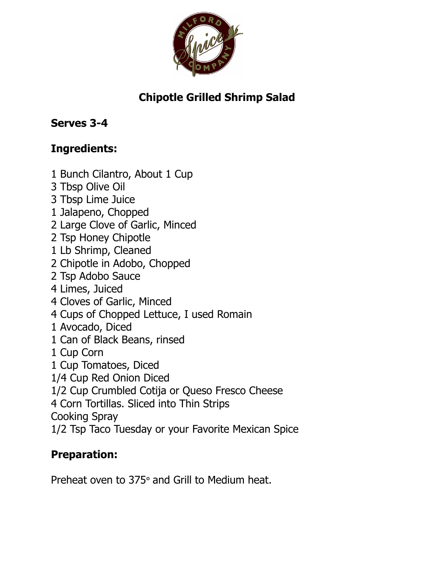

## **Chipotle Grilled Shrimp Salad**

## **Serves 3-4**

## **Ingredients:**

- 1 Bunch Cilantro, About 1 Cup
- 3 Tbsp Olive Oil
- 3 Tbsp Lime Juice
- 1 Jalapeno, Chopped
- 2 Large Clove of Garlic, Minced
- 2 Tsp Honey Chipotle
- 1 Lb Shrimp, Cleaned
- 2 Chipotle in Adobo, Chopped
- 2 Tsp Adobo Sauce
- 4 Limes, Juiced
- 4 Cloves of Garlic, Minced
- 4 Cups of Chopped Lettuce, I used Romain
- 1 Avocado, Diced
- 1 Can of Black Beans, rinsed
- 1 Cup Corn
- 1 Cup Tomatoes, Diced
- 1/4 Cup Red Onion Diced
- 1/2 Cup Crumbled Cotija or Queso Fresco Cheese
- 4 Corn Tortillas. Sliced into Thin Strips
- Cooking Spray
- 1/2 Tsp Taco Tuesday or your Favorite Mexican Spice

## **Preparation:**

Preheat oven to 375º and Grill to Medium heat.